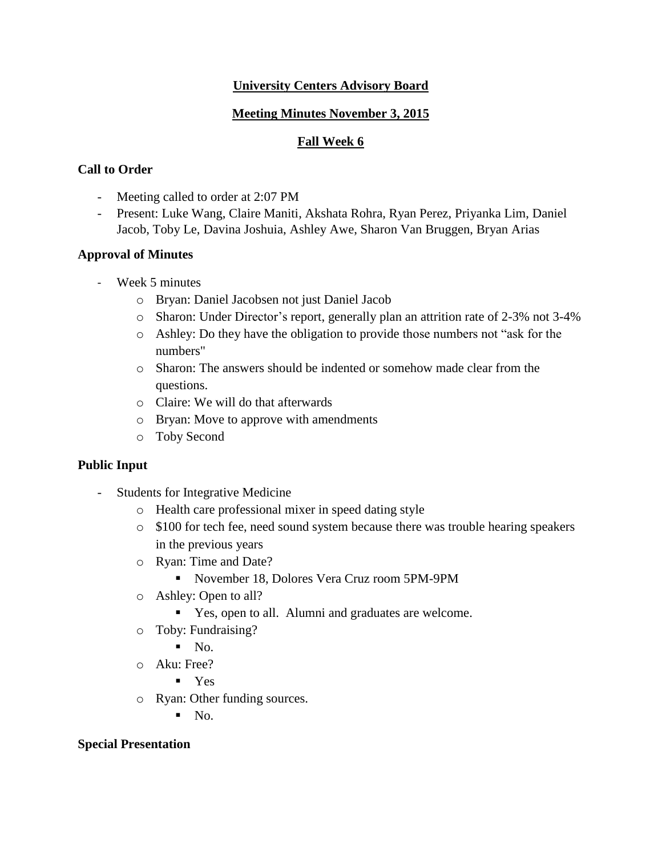## **University Centers Advisory Board**

# **Meeting Minutes November 3, 2015**

## **Fall Week 6**

# **Call to Order**

- Meeting called to order at 2:07 PM
- Present: Luke Wang, Claire Maniti, Akshata Rohra, Ryan Perez, Priyanka Lim, Daniel Jacob, Toby Le, Davina Joshuia, Ashley Awe, Sharon Van Bruggen, Bryan Arias

### **Approval of Minutes**

- Week 5 minutes
	- o Bryan: Daniel Jacobsen not just Daniel Jacob
	- o Sharon: Under Director's report, generally plan an attrition rate of 2-3% not 3-4%
	- o Ashley: Do they have the obligation to provide those numbers not "ask for the numbers"
	- o Sharon: The answers should be indented or somehow made clear from the questions.
	- o Claire: We will do that afterwards
	- o Bryan: Move to approve with amendments
	- o Toby Second

### **Public Input**

- Students for Integrative Medicine
	- o Health care professional mixer in speed dating style
	- o \$100 for tech fee, need sound system because there was trouble hearing speakers in the previous years
	- o Ryan: Time and Date?
		- November 18, Dolores Vera Cruz room 5PM-9PM
	- o Ashley: Open to all?
		- Yes, open to all. Alumni and graduates are welcome.
	- o Toby: Fundraising?
		- $\blacksquare$  No.
	- o Aku: Free?
		- Yes
	- o Ryan: Other funding sources.
		- $N_{\Omega}$ .

### **Special Presentation**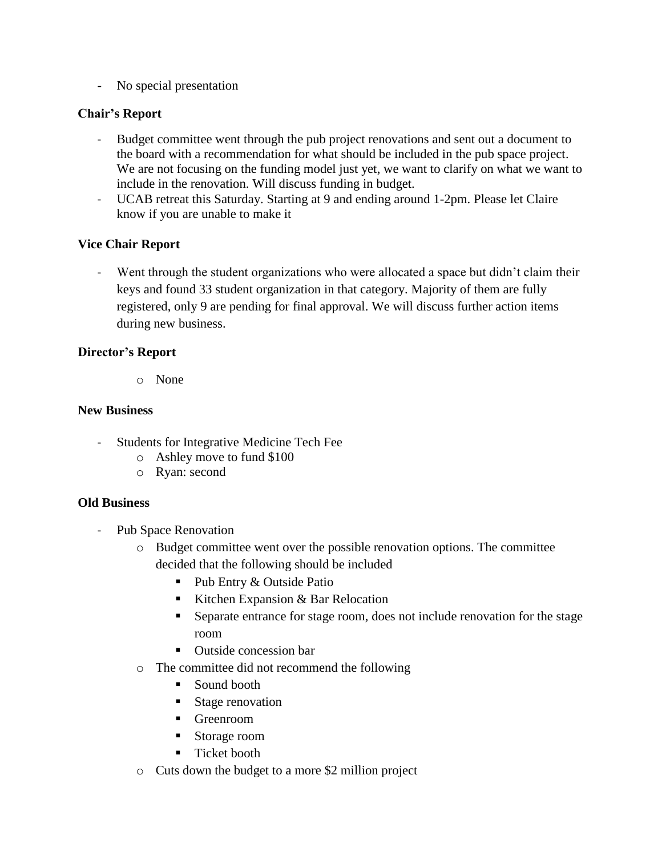- No special presentation

### **Chair's Report**

- Budget committee went through the pub project renovations and sent out a document to the board with a recommendation for what should be included in the pub space project. We are not focusing on the funding model just yet, we want to clarify on what we want to include in the renovation. Will discuss funding in budget.
- UCAB retreat this Saturday. Starting at 9 and ending around 1-2pm. Please let Claire know if you are unable to make it

### **Vice Chair Report**

Went through the student organizations who were allocated a space but didn't claim their keys and found 33 student organization in that category. Majority of them are fully registered, only 9 are pending for final approval. We will discuss further action items during new business.

#### **Director's Report**

o None

#### **New Business**

- Students for Integrative Medicine Tech Fee
	- o Ashley move to fund \$100
	- o Ryan: second

#### **Old Business**

- Pub Space Renovation
	- o Budget committee went over the possible renovation options. The committee decided that the following should be included
		- Pub Entry & Outside Patio
		- Kitchen Expansion  $&$  Bar Relocation
		- Separate entrance for stage room, does not include renovation for the stage room
		- Outside concession bar
	- o The committee did not recommend the following
		- Sound booth
		- Stage renovation
		- Greenroom
		- Storage room
		- **Ticket booth**
	- o Cuts down the budget to a more \$2 million project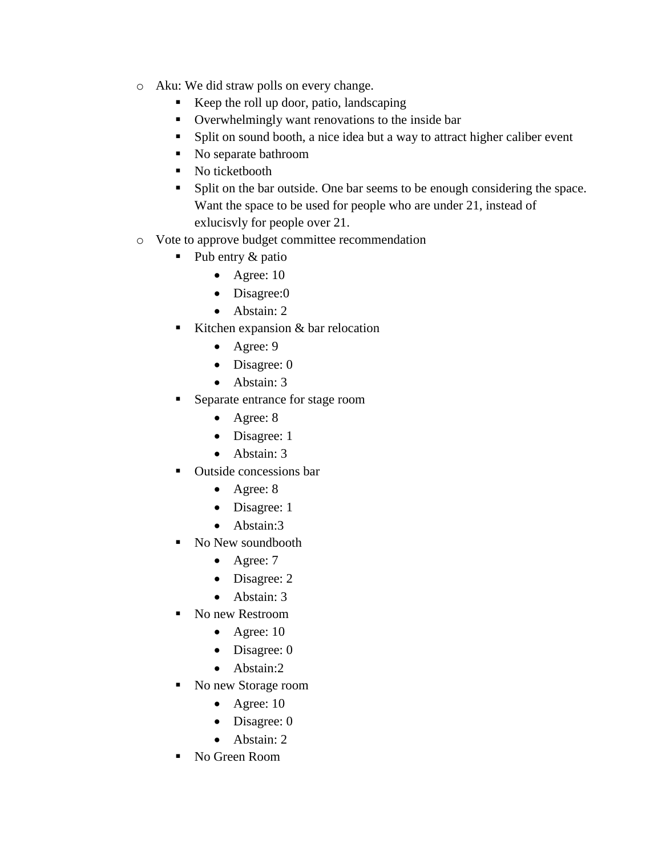- o Aku: We did straw polls on every change.
	- Keep the roll up door, patio, landscaping
	- Overwhelmingly want renovations to the inside bar
	- Split on sound booth, a nice idea but a way to attract higher caliber event
	- No separate bathroom
	- No ticketbooth
	- **Split on the bar outside. One bar seems to be enough considering the space.** Want the space to be used for people who are under 21, instead of exlucisvly for people over 21.
- o Vote to approve budget committee recommendation
	- Pub entry  $&$  patio
		- Agree:  $10$
		- Disagree:0
		- Abstain: 2
	- Kitchen expansion & bar relocation
		- Agree: 9
		- Disagree: 0
		- Abstain: 3
	- Separate entrance for stage room
		- Agree: 8
		- Disagree: 1
		- Abstain: 3
	- Outside concessions bar
		- Agree: 8
		- Disagree: 1
		- Abstain:3
	- No New soundbooth
		- Agree: 7
		- Disagree: 2
		- Abstain: 3
	- No new Restroom
		- Agree:  $10$
		- Disagree: 0
		- Abstain:2
	- No new Storage room
		- Agree:  $10$
		- Disagree: 0
		- Abstain: 2
	- No Green Room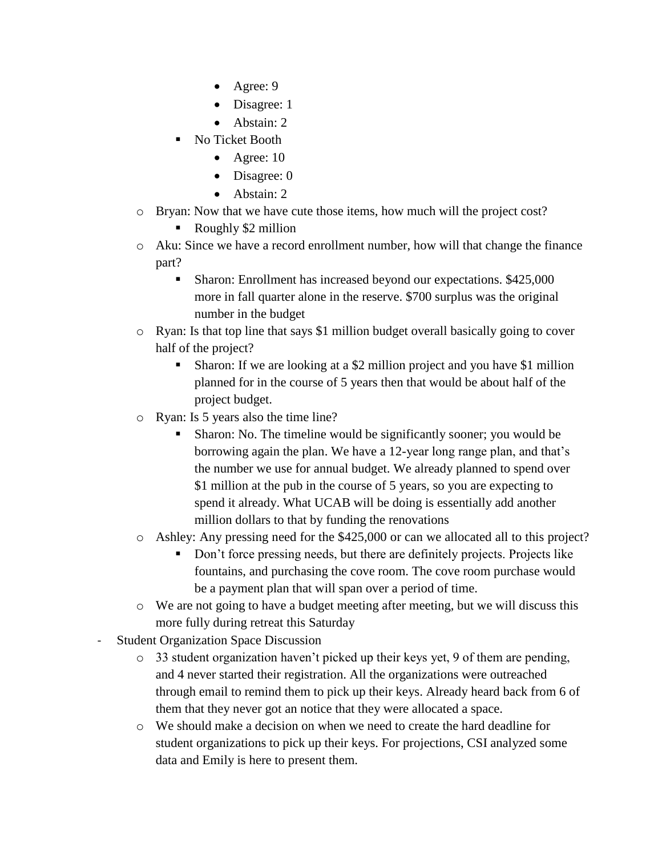- Agree: 9
- Disagree: 1
- $\bullet$  Abstain: 2
- No Ticket Booth
	- Agree:  $10$
	- Disagree: 0
	- Abstain: 2
- o Bryan: Now that we have cute those items, how much will the project cost?
	- Roughly \$2 million
- o Aku: Since we have a record enrollment number, how will that change the finance part?
	- Sharon: Enrollment has increased beyond our expectations. \$425,000 more in fall quarter alone in the reserve. \$700 surplus was the original number in the budget
- o Ryan: Is that top line that says \$1 million budget overall basically going to cover half of the project?
	- Sharon: If we are looking at a \$2 million project and you have \$1 million planned for in the course of 5 years then that would be about half of the project budget.
- o Ryan: Is 5 years also the time line?
	- Sharon: No. The timeline would be significantly sooner; you would be borrowing again the plan. We have a 12-year long range plan, and that's the number we use for annual budget. We already planned to spend over \$1 million at the pub in the course of 5 years, so you are expecting to spend it already. What UCAB will be doing is essentially add another million dollars to that by funding the renovations
- o Ashley: Any pressing need for the \$425,000 or can we allocated all to this project?
	- Don't force pressing needs, but there are definitely projects. Projects like fountains, and purchasing the cove room. The cove room purchase would be a payment plan that will span over a period of time.
- o We are not going to have a budget meeting after meeting, but we will discuss this more fully during retreat this Saturday
- **Student Organization Space Discussion** 
	- $\circ$  33 student organization haven't picked up their keys yet, 9 of them are pending, and 4 never started their registration. All the organizations were outreached through email to remind them to pick up their keys. Already heard back from 6 of them that they never got an notice that they were allocated a space.
	- o We should make a decision on when we need to create the hard deadline for student organizations to pick up their keys. For projections, CSI analyzed some data and Emily is here to present them.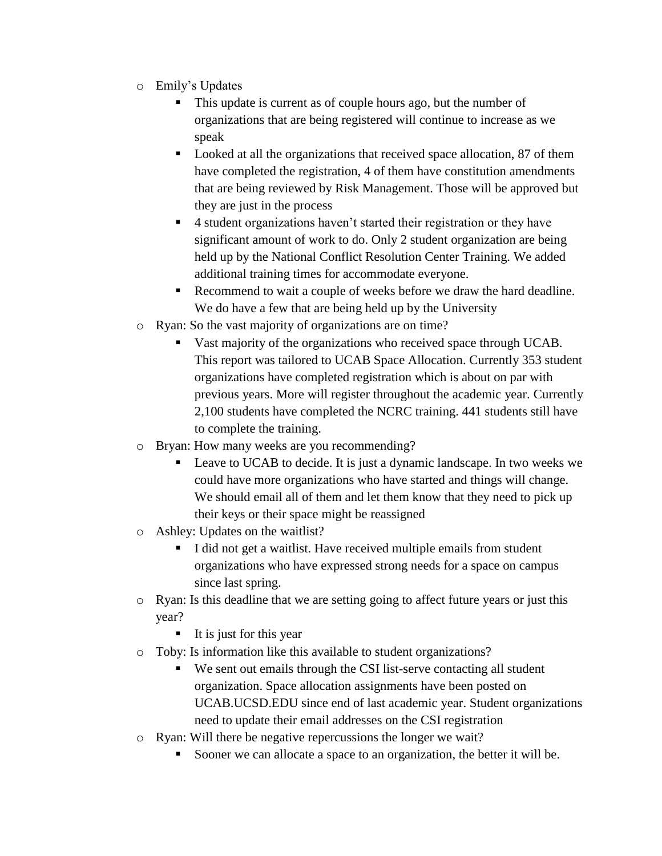- o Emily's Updates
	- This update is current as of couple hours ago, but the number of organizations that are being registered will continue to increase as we speak
	- Looked at all the organizations that received space allocation, 87 of them have completed the registration, 4 of them have constitution amendments that are being reviewed by Risk Management. Those will be approved but they are just in the process
	- 4 student organizations haven't started their registration or they have significant amount of work to do. Only 2 student organization are being held up by the National Conflict Resolution Center Training. We added additional training times for accommodate everyone.
	- Recommend to wait a couple of weeks before we draw the hard deadline. We do have a few that are being held up by the University
- o Ryan: So the vast majority of organizations are on time?
	- vast majority of the organizations who received space through UCAB. This report was tailored to UCAB Space Allocation. Currently 353 student organizations have completed registration which is about on par with previous years. More will register throughout the academic year. Currently 2,100 students have completed the NCRC training. 441 students still have to complete the training.
- o Bryan: How many weeks are you recommending?
	- Leave to UCAB to decide. It is just a dynamic landscape. In two weeks we could have more organizations who have started and things will change. We should email all of them and let them know that they need to pick up their keys or their space might be reassigned
- o Ashley: Updates on the waitlist?
	- I did not get a waitlist. Have received multiple emails from student organizations who have expressed strong needs for a space on campus since last spring.
- o Ryan: Is this deadline that we are setting going to affect future years or just this year?
	- $\blacksquare$  It is just for this year
- o Toby: Is information like this available to student organizations?
	- We sent out emails through the CSI list-serve contacting all student organization. Space allocation assignments have been posted on UCAB.UCSD.EDU since end of last academic year. Student organizations need to update their email addresses on the CSI registration
- o Ryan: Will there be negative repercussions the longer we wait?
	- Sooner we can allocate a space to an organization, the better it will be.